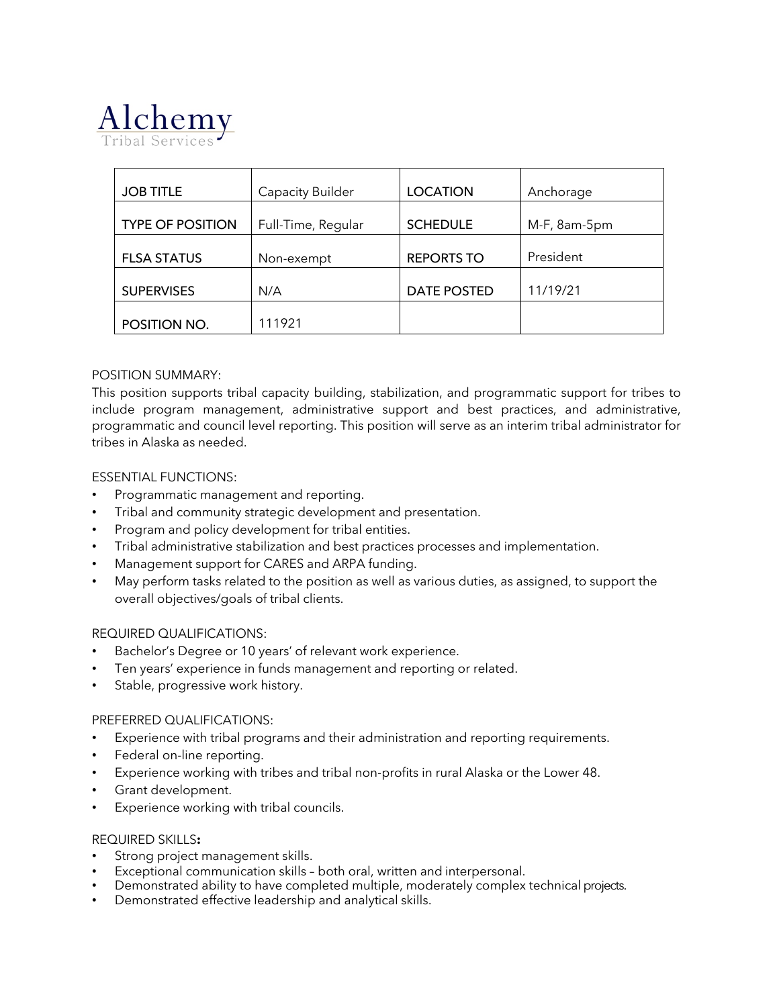

| <b>JOB TITLE</b>        | <b>Capacity Builder</b> | <b>LOCATION</b>   | Anchorage    |
|-------------------------|-------------------------|-------------------|--------------|
| <b>TYPE OF POSITION</b> | Full-Time, Regular      | <b>SCHEDULE</b>   | M-F, 8am-5pm |
| <b>FLSA STATUS</b>      | Non-exempt              | <b>REPORTS TO</b> | President    |
| <b>SUPERVISES</b>       | N/A                     | DATE POSTED       | 11/19/21     |
| POSITION NO.            | 111921                  |                   |              |

## POSITION SUMMARY:

This position supports tribal capacity building, stabilization, and programmatic support for tribes to include program management, administrative support and best practices, and administrative, programmatic and council level reporting. This position will serve as an interim tribal administrator for tribes in Alaska as needed.

### ESSENTIAL FUNCTIONS:

- Programmatic management and reporting.
- Tribal and community strategic development and presentation.
- Program and policy development for tribal entities.
- Tribal administrative stabilization and best practices processes and implementation.
- Management support for CARES and ARPA funding.
- May perform tasks related to the position as well as various duties, as assigned, to support the overall objectives/goals of tribal clients.

#### REQUIRED QUALIFICATIONS:

- Bachelor's Degree or 10 years' of relevant work experience.
- Ten years' experience in funds management and reporting or related.
- Stable, progressive work history.

#### PREFERRED QUALIFICATIONS:

- Experience with tribal programs and their administration and reporting requirements.
- Federal on-line reporting.
- Experience working with tribes and tribal non-profits in rural Alaska or the Lower 48.
- Grant development.
- Experience working with tribal councils.

#### REQUIRED SKILLS**:**

- Strong project management skills.
- Exceptional communication skills both oral, written and interpersonal.
- Demonstrated ability to have completed multiple, moderately complex technical projects.
- Demonstrated effective leadership and analytical skills.